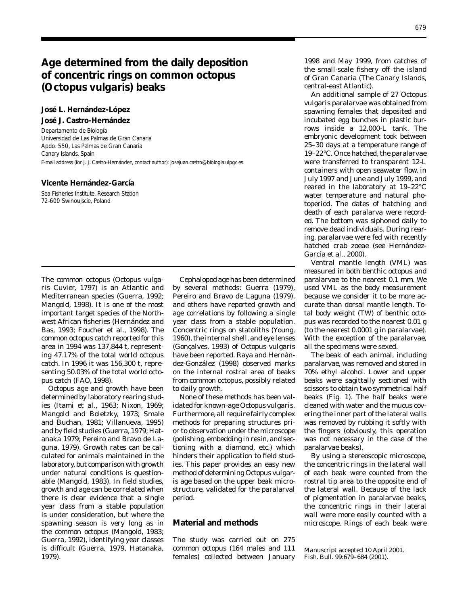# **Age determined from the daily deposition of concentric rings on common octopus (***Octopus vulgaris***) beaks**

# **José L. Hernández-López José J. Castro-Hernández**

Departamento de Biología Universidad de Las Palmas de Gran Canaria Apdo. 550, Las Palmas de Gran Canaria Canary Islands, Spain E-mail address (for J. J. Castro-Hernández, contact author): josejuan.castro@biologia.ulpgc.es

#### **Vicente Hernández-García**

Sea Fisheries Institute, Research Station 72-600 Swinoujscie, Poland

*ris* Cuvier, 1797) is an Atlantic and by several methods: Guerra (1979), Mediterranean species (Guerra, 1992; Pereiro and Bravo de Laguna (1979), Mangold, 1998). It is one of the most and others have reported growth and important target species of the North- age correlations by following a single west African fisheries (Hernández and year class from a stable population. Bas, 1993; Foucher et al., 1998). The Concentric rings on statoliths (Young, common octopus catch reported for this 1960), the internal shell, and eye lenses area in 1994 was 137,844 t, represent- (Gonçalves, 1993) of *Octopus vulgaris*  ing 47.17% of the total world octopus have been reported. Raya and Hernáncatch. In 1996 it was 156,300 t, repre- dez-González (1998) observed marks senting 50.03% of the total world octo- on the internal rostral area of beaks

Octopus age and growth have been to daily growth. determined by laboratory rearing stud- None of these methods has been valies (Itami et al*.*, 1963; Nixon, 1969; idated for known-age *Octopus vulgaris*. Mangold and Boletzky, 1973; Smale Furthermore, all require fairly complex and Buchan, 1981; Villanueva, 1995) methods for preparing structures priand by field studies (Guerra, 1979; Hat- or to observation under the microscope anaka 1979; Pereiro and Bravo de La- (polishing, embedding in resin, and secguna, 1979). Growth rates can be cal- tioning with a diamond, etc.) which culated for animals maintained in the hinders their application to field studlaboratory, but comparison with growth ies. This paper provides an easy new under natural conditions is question- method of determining *Octopus vulgar*able (Mangold, 1983). In field studies, *is* age based on the upper beak microgrowth and age can be correlated when structure, validated for the paralarval there is clear evidence that a single period. year class from a stable population is under consideration, but where the spawning season is very long as in **Material and methods**  the common octopus (Mangold, 1983; Guerra, 1992), identifying year classes The study was carried out on 275 is difficult (Guerra, 1979, Hatanaka, common octopus (164 males and 111 1979). females) collected between January

The common octopus (*Octopus vulga-* Cephalopod age has been determined pus catch (FAO, 1998). from common octopus, possibly related

1998 and May 1999, from catches of the small-scale fishery off the island of Gran Canaria (The Canary Islands, central-east Atlantic).

An additional sample of 27 *Octopus vulgaris* paralarvae was obtained from spawning females that deposited and incubated egg bunches in plastic burrows inside a 12,000-L tank. The embryonic development took between 25–30 days at a temperature range of 19–22°C. Once hatched, the paralarvae were transferred to transparent 12-L containers with open seawater flow, in July 1997 and June and July 1999, and reared in the laboratory at 19–22°C water temperature and natural photoperiod. The dates of hatching and death of each paralarva were recorded. The bottom was siphoned daily to remove dead individuals. During rearing, paralarvae were fed with recently hatched crab zoeae (see Hernández-García et al., 2000).

Ventral mantle length (VML) was measured in both benthic octopus and paralarvae to the nearest 0.1 mm. We used VML as the body measurement because we consider it to be more accurate than dorsal mantle length. Total body weight (TW) of benthic octopus was recorded to the nearest 0.01 g (to the nearest 0.0001 g in paralarvae). With the exception of the paralarvae, all the specimens were sexed.

The beak of each animal, including paralarvae, was removed and stored in 70% ethyl alcohol. Lower and upper beaks were sagittally sectioned with scissors to obtain two symmetrical half beaks (Fig. 1). The half beaks were cleaned with water and the mucus covering the inner part of the lateral walls was removed by rubbing it softly with the fingers (obviously, this operation was not necessary in the case of the paralarvae beaks).

By using a stereoscopic microscope, the concentric rings in the lateral wall of each beak were counted from the rostral tip area to the opposite end of the lateral wall. Because of the lack of pigmentation in paralarvae beaks, the concentric rings in their lateral wall were more easily counted with a microscope. Rings of each beak were

Manuscript accepted 10 April 2001. Fish. Bull. 99:679–684 (2001).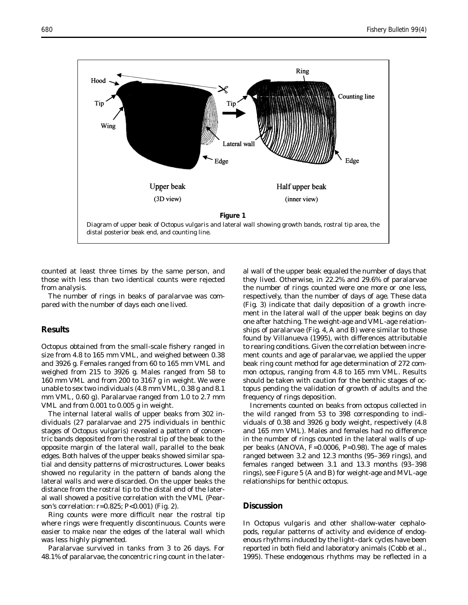

counted at least three times by the same person, and those with less than two identical counts were rejected from analysis.

The number of rings in beaks of paralarvae was compared with the number of days each one lived.

### **Results**

Octopus obtained from the small-scale fishery ranged in size from 4.8 to 165 mm VML, and weighed between 0.38 and 3926 g. Females ranged from 60 to 165 mm VML and weighed from 215 to 3926 g. Males ranged from 58 to 160 mm VML and from 200 to 3167 g in weight. We were unable to sex two individuals (4.8 mm VML, 0.38 g and 8.1 mm VML, 0.60 g). Paralarvae ranged from 1.0 to 2.7 mm VML and from 0.001 to 0.005 g in weight.

The internal lateral walls of upper beaks from 302 individuals (27 paralarvae and 275 individuals in benthic stages of *Octopus vulgaris*) revealed a pattern of concentric bands deposited from the rostral tip of the beak to the opposite margin of the lateral wall, parallel to the beak edges. Both halves of the upper beaks showed similar spatial and density patterns of microstructures. Lower beaks showed no regularity in the pattern of bands along the lateral walls and were discarded. On the upper beaks the distance from the rostral tip to the distal end of the lateral wall showed a positive correlation with the VML (Pearson's correlation: *r*=0.825; *P*<0.001) (Fig. 2).

Ring counts were more difficult near the rostral tip where rings were frequently discontinuous. Counts were easier to make near the edges of the lateral wall which was less highly pigmented.

Paralarvae survived in tanks from 3 to 26 days. For 48.1% of paralarvae, the concentric ring count in the later-

al wall of the upper beak equaled the number of days that they lived. Otherwise, in 22.2% and 29.6% of paralarvae the number of rings counted were one more or one less, respectively, than the number of days of age. These data (Fig. 3) indicate that daily deposition of a growth increment in the lateral wall of the upper beak begins on day one after hatching. The weight-age and VML-age relationships of paralarvae (Fig. 4, A and B) were similar to those found by Villanueva (1995), with differences attributable to rearing conditions. Given the correlation between increment counts and age of paralarvae, we applied the upper beak ring count method for age determination of 272 common octopus, ranging from 4.8 to 165 mm VML. Results should be taken with caution for the benthic stages of octopus pending the validation of growth of adults and the frequency of rings deposition.

Increments counted on beaks from octopus collected in the wild ranged from 53 to 398 corresponding to individuals of 0.38 and 3926 g body weight, respectively (4.8 and 165 mm VML). Males and females had no difference in the number of rings counted in the lateral walls of upper beaks (ANOVA, *F*=0.0006, *P*=0.98). The age of males ranged between 3.2 and 12.3 months (95–369 rings), and females ranged between 3.1 and 13.3 months (93–398 rings), see Figure 5 (A and B) for weight-age and MVL-age relationships for benthic octopus.

# **Discussion**

In *Octopus vulgaris* and other shallow-water cephalopods, regular patterns of activity and evidence of endogenous rhythms induced by the light–dark cycles have been reported in both field and laboratory animals (Cobb et al., 1995). These endogenous rhythms may be reflected in a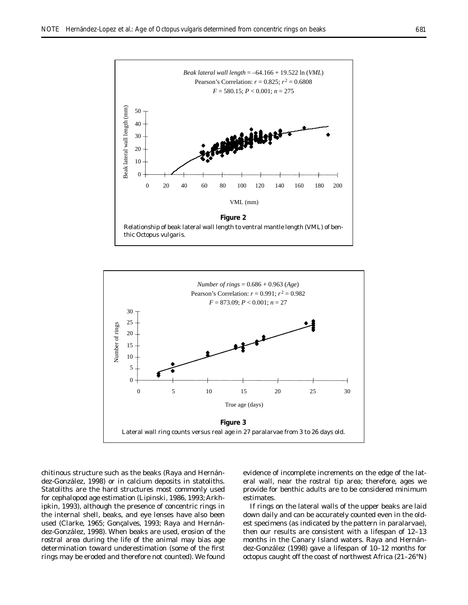



chitinous structure such as the beaks (Raya and Hernández-González, 1998) or in calcium deposits in statoliths. Statoliths are the hard structures most commonly used for cephalopod age estimation (Lipinski, 1986, 1993; Arkhipkin, 1993), although the presence of concentric rings in the internal shell, beaks, and eye lenses have also been used (Clarke, 1965; Gonçalves, 1993; Raya and Hernández-González, 1998). When beaks are used, erosion of the rostral area during the life of the animal may bias age determination toward underestimation (some of the first rings may be eroded and therefore not counted). We found

evidence of incomplete increments on the edge of the lateral wall, near the rostral tip area; therefore, ages we provide for benthic adults are to be considered minimum estimates.

If rings on the lateral walls of the upper beaks are laid down daily and can be accurately counted even in the oldest specimens (as indicated by the pattern in paralarvae), then our results are consistent with a lifespan of 12–13 months in the Canary Island waters. Raya and Hernández-González (1998) gave a lifespan of 10–12 months for octopus caught off the coast of northwest Africa (21–26°N)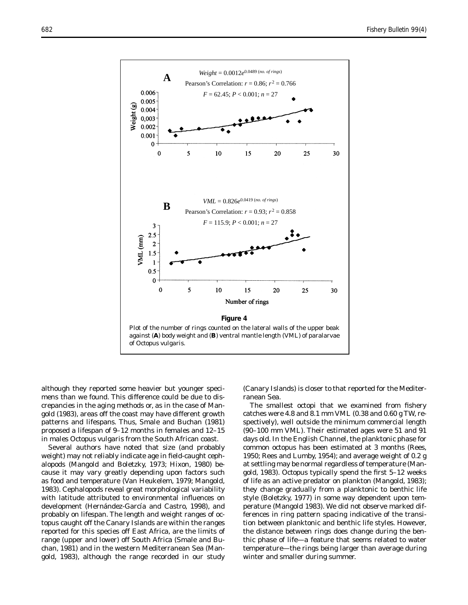

although they reported some heavier but younger specimens than we found. This difference could be due to discrepancies in the aging methods or, as in the case of Mangold (1983), areas off the coast may have different growth patterns and lifespans. Thus, Smale and Buchan (1981) proposed a lifespan of 9–12 months in females and 12–15 in males *Octopus vulgaris* from the South African coast.

Several authors have noted that size (and probably weight) may not reliably indicate age in field-caught cephalopods (Mangold and Boletzky, 1973; Hixon, 1980) because it may vary greatly depending upon factors such as food and temperature (Van Heukelem, 1979; Mangold, 1983). Cephalopods reveal great morphological variability with latitude attributed to environmental influences on development (Hernández-García and Castro, 1998), and probably on lifespan. The length and weight ranges of octopus caught off the Canary Islands are within the ranges reported for this species off East Africa, are the limits of range (upper and lower) off South Africa (Smale and Buchan, 1981) and in the western Mediterranean Sea (Mangold, 1983), although the range recorded in our study

(Canary Islands) is closer to that reported for the Mediterranean Sea.

The smallest octopi that we examined from fishery catches were 4.8 and 8.1 mm VML (0.38 and 0.60 g TW, respectively), well outside the minimum commercial length (90–100 mm VML). Their estimated ages were 51 and 91 days old. In the English Channel, the planktonic phase for common octopus has been estimated at 3 months (Rees, 1950; Rees and Lumby, 1954); and average weight of 0.2 g at settling may be normal regardless of temperature (Mangold, 1983). *Octopus* typically spend the first 5–12 weeks of life as an active predator on plankton (Mangold, 1983); they change gradually from a planktonic to benthic life style (Boletzky, 1977) in some way dependent upon temperature (Mangold 1983). We did not observe marked differences in ring pattern spacing indicative of the transition between planktonic and benthic life styles. However, the distance between rings does change during the benthic phase of life—a feature that seems related to water temperature—the rings being larger than average during winter and smaller during summer.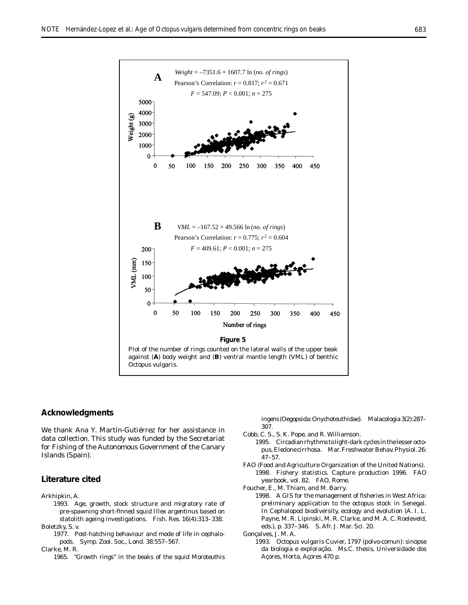

#### **Acknowledgments**

We thank Ana Y. Martín-Gutiérrez for her assistance in data collection. This study was funded by the Secretariat for Fishing of the Autonomous Government of the Canary Islands (Spain).

# **Literature cited**

#### Arkhipkin, A.

- 1993. Age, growth, stock structure and migratory rate of pre-spawning short-finned squid *Illex argentinus* based on statolith ageing investigations. Fish. Res. 16(4):313–338. Boletzky, S. v.
	- 1977. Post-hatching behaviour and mode of life in cephalopods. Symp. Zool. Soc., Lond. 38:557–567.

Clarke, M. R.

1965. "Growth rings" in the beaks of the squid *Moroteuthis* 

*ingens* (Oegopsida:Onychoteuthidae). Malacologia 3(2):287– 307.

- Cobb, C. S., S. K. Pope, and R. Williamson.
	- 1995. Circadian rhythms to light-dark cycles in the lesser octopus, *Eledone cirrhosa*. Mar. Freshwater Behav. Physiol. 26: 47–57.
- FAO (Food and Agriculture Organization of the United Nations). 1998. Fishery statistics. Capture production 1996. FAO yearbook, vol. 82. FAO, Rome.
- Foucher, E., M. Thiam, and M. Barry.
	- 1998. A GIS for the management of fisheries in West Africa: preliminary application to the octopus stock in Senegal. *In* Cephalopod biodiversity, ecology and evolution (A. I. L. Payne, M. R. Lipinski, M. R. Clarke, and M. A. C. Roeleveld, eds.), p. 337–346. S. Afr. J. Mar. Sci. 20.

Gonçalves, J. M. A.

1993. *Octopus vulgaris* Cuvier, 1797 (polvo-comun): sinopse da biologia e exploração. Ms.C. thesis, Universidade dos Açores, Horta, Açores 470 p.